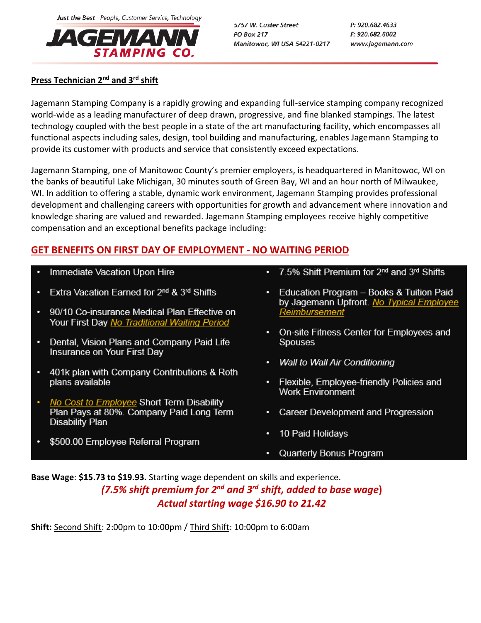

5757 W. Custer Street **PO Box 217** Manitowoc, WI USA 54221-0217 P: 920.682.4633 F: 920.682.6002 www.jagemann.com

## **Press Technician 2 nd and 3rd shift**

Jagemann Stamping Company is a rapidly growing and expanding full-service stamping company recognized world-wide as a leading manufacturer of deep drawn, progressive, and fine blanked stampings. The latest technology coupled with the best people in a state of the art manufacturing facility, which encompasses all functional aspects including sales, design, tool building and manufacturing, enables Jagemann Stamping to provide its customer with products and service that consistently exceed expectations.

Jagemann Stamping, one of Manitowoc County's premier employers, is headquartered in Manitowoc, WI on the banks of beautiful Lake Michigan, 30 minutes south of Green Bay, WI and an hour north of Milwaukee, WI. In addition to offering a stable, dynamic work environment, Jagemann Stamping provides professional development and challenging careers with opportunities for growth and advancement where innovation and knowledge sharing are valued and rewarded. Jagemann Stamping employees receive highly competitive compensation and an exceptional benefits package including:

## **GET BENEFITS ON FIRST DAY OF EMPLOYMENT - NO WAITING PERIOD**

- Immediate Vacation Upon Hire
- Extra Vacation Earned for 2<sup>nd</sup> & 3<sup>rd</sup> Shifts
- 90/10 Co-insurance Medical Plan Effective on ٠ Your First Day No Traditional Waiting Period
- Dental, Vision Plans and Company Paid Life Insurance on Your First Day
- 401k plan with Company Contributions & Roth plans available
- No Cost to Employee Short Term Disability Plan Pays at 80%. Company Paid Long Term **Disability Plan**
- \$500.00 Employee Referral Program
- 7.5% Shift Premium for 2<sup>nd</sup> and 3<sup>rd</sup> Shifts
- Education Program Books & Tuition Paid by Jagemann Upfront. No Typical Employee Reimbursement
- On-site Fitness Center for Employees and **Spouses**
- Wall to Wall Air Conditioning
- Flexible, Employee-friendly Policies and **Work Environment**
- Career Development and Progression
- 10 Paid Holidays
- Quarterly Bonus Program

**Base Wage**: **\$15.73 to \$19.93.** Starting wage dependent on skills and experience. *(7.5% shift premium for 2nd and 3rd shift, added to base wage***)** *Actual starting wage \$16.90 to 21.42*

**Shift:** Second Shift: 2:00pm to 10:00pm / Third Shift: 10:00pm to 6:00am